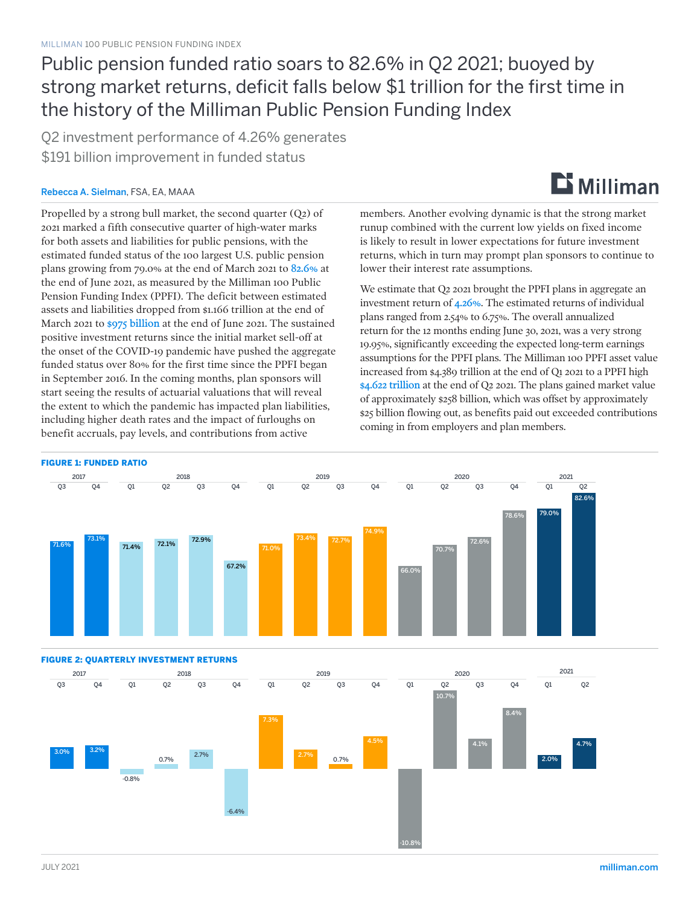## Public pension funded ratio soars to 82.6% in Q2 2021; buoyed by strong market returns, deficit falls below \$1 trillion for the first time in the history of the Milliman Public Pension Funding Index

Q2 investment performance of 4.26% generates \$191 billion improvement in funded status

### Rebecca A. Sielman, FSA, EA, MAAA

# Milliman

Propelled by a strong bull market, the second quarter (Q2) of 2021 marked a fifth consecutive quarter of high-water marks for both assets and liabilities for public pensions, with the estimated funded status of the 100 largest U.S. public pension plans growing from 79.0% at the end of March 2021 to 82.6% at the end of June 2021, as measured by the Milliman 100 Public Pension Funding Index (PPFI). The deficit between estimated assets and liabilities dropped from \$1.166 trillion at the end of March 2021 to \$975 billion at the end of June 2021. The sustained positive investment returns since the initial market sell-off at the onset of the COVID-19 pandemic have pushed the aggregate funded status over 80% for the first time since the PPFI began in September 2016. In the coming months, plan sponsors will start seeing the results of actuarial valuations that will reveal the extent to which the pandemic has impacted plan liabilities, including higher death rates and the impact of furloughs on benefit accruals, pay levels, and contributions from active

members. Another evolving dynamic is that the strong market runup combined with the current low yields on fixed income is likely to result in lower expectations for future investment returns, which in turn may prompt plan sponsors to continue to lower their interest rate assumptions.

We estimate that Q2 2021 brought the PPFI plans in aggregate an investment return of 4.26%. The estimated returns of individual plans ranged from 2.54% to 6.75%. The overall annualized return for the 12 months ending June 30, 2021, was a very strong 19.95%, significantly exceeding the expected long-term earnings assumptions for the PPFI plans. The Milliman 100 PPFI asset value increased from \$4.389 trillion at the end of Q1 2021 to a PPFI high \$4.622 trillion at the end of Q2 2021. The plans gained market value of approximately \$258 billion, which was offset by approximately \$25 billion flowing out, as benefits paid out exceeded contributions coming in from employers and plan members.